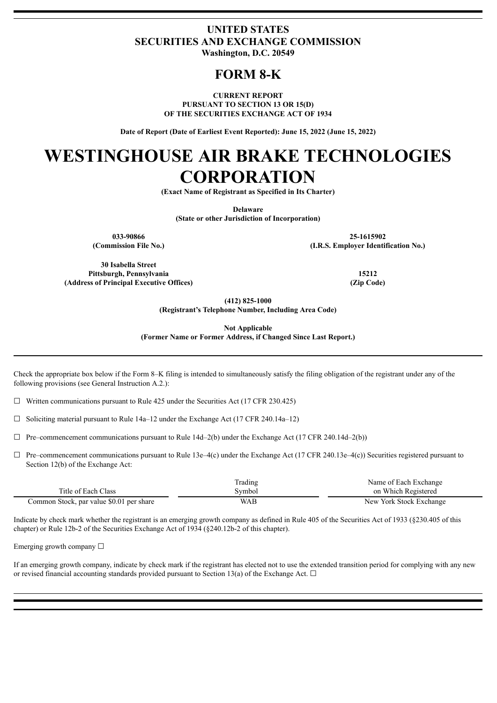### **UNITED STATES SECURITIES AND EXCHANGE COMMISSION Washington, D.C. 20549**

## **FORM 8-K**

**CURRENT REPORT PURSUANT TO SECTION 13 OR 15(D) OF THE SECURITIES EXCHANGE ACT OF 1934**

**Date of Report (Date of Earliest Event Reported): June 15, 2022 (June 15, 2022)**

# **WESTINGHOUSE AIR BRAKE TECHNOLOGIES CORPORATION**

**(Exact Name of Registrant as Specified in Its Charter)**

**Delaware**

**(State or other Jurisdiction of Incorporation)**

**033-90866 25-1615902 (Commission File No.) (I.R.S. Employer Identification No.)**

**30 Isabella Street Pittsburgh, Pennsylvania 15212 (Address of Principal Executive Offices) (Zip Code)**

**(412) 825-1000**

**(Registrant's Telephone Number, Including Area Code)**

**Not Applicable**

**(Former Name or Former Address, if Changed Since Last Report.)**

Check the appropriate box below if the Form 8–K filing is intended to simultaneously satisfy the filing obligation of the registrant under any of the following provisions (see General Instruction A.2.):

 $\Box$  Written communications pursuant to Rule 425 under the Securities Act (17 CFR 230.425)

 $\Box$  Soliciting material pursuant to Rule 14a–12 under the Exchange Act (17 CFR 240.14a–12)

 $\Box$  Pre–commencement communications pursuant to Rule 14d–2(b) under the Exchange Act (17 CFR 240.14d–2(b))

 $\Box$  Pre–commencement communications pursuant to Rule 13e–4(c) under the Exchange Act (17 CFR 240.13e–4(c)) Securities registered pursuant to Section 12(b) of the Exchange Act:

|                                          | <b>Trading</b> | Name of Each Exchange   |
|------------------------------------------|----------------|-------------------------|
| Title of Each Class                      | Svmbol         | on Which Registered     |
| Common Stock, par value \$0.01 per share | <b>WAB</b>     | New York Stock Exchange |

Indicate by check mark whether the registrant is an emerging growth company as defined in Rule 405 of the Securities Act of 1933 (§230.405 of this chapter) or Rule 12b-2 of the Securities Exchange Act of 1934 (§240.12b-2 of this chapter).

Emerging growth company  $\Box$ 

If an emerging growth company, indicate by check mark if the registrant has elected not to use the extended transition period for complying with any new or revised financial accounting standards provided pursuant to Section 13(a) of the Exchange Act.  $\Box$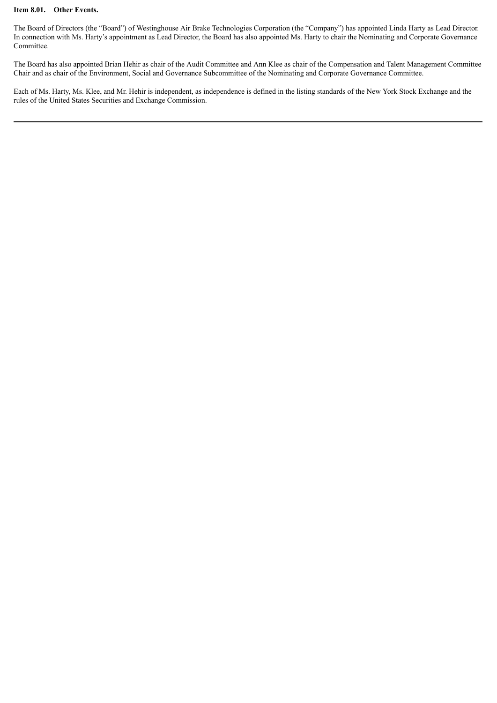#### **Item 8.01. Other Events.**

The Board of Directors (the "Board") of Westinghouse Air Brake Technologies Corporation (the "Company") has appointed Linda Harty as Lead Director. In connection with Ms. Harty's appointment as Lead Director, the Board has also appointed Ms. Harty to chair the Nominating and Corporate Governance Committee.

The Board has also appointed Brian Hehir as chair of the Audit Committee and Ann Klee as chair of the Compensation and Talent Management Committee Chair and as chair of the Environment, Social and Governance Subcommittee of the Nominating and Corporate Governance Committee.

Each of Ms. Harty, Ms. Klee, and Mr. Hehir is independent, as independence is defined in the listing standards of the New York Stock Exchange and the rules of the United States Securities and Exchange Commission.